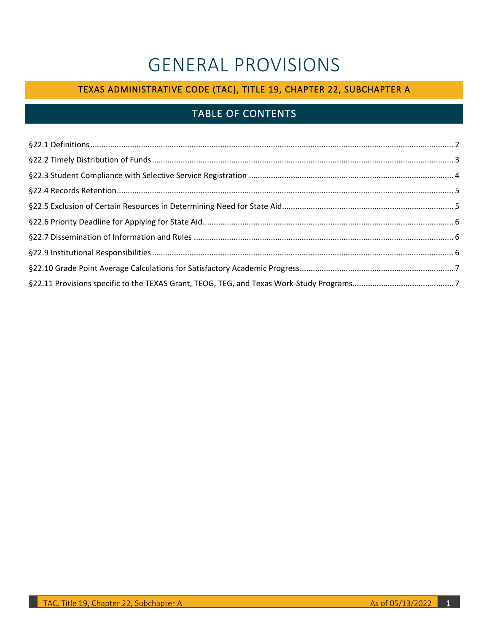# GENERAL PROVISIONS

# TEXAS ADMINISTRATIVE CODE (TAC), TITLE 19, CHAPTER 22, SUBCHAPTER A

# TABLE OF CONTENTS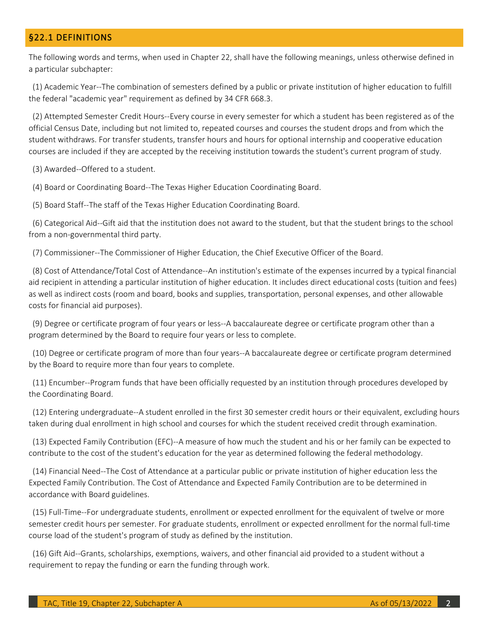#### <span id="page-1-0"></span>§22.1 DEFINITIONS

 The following words and terms, when used in Chapter 22, shall have the following meanings, unless otherwise defined in a particular subchapter:

(1) Academic Year--The combination of semesters defined by a public or private institution of higher education to fulfill the federal "academic year" requirement as defined by 34 CFR 668.3.

 student withdraws. For transfer students, transfer hours and hours for optional internship and cooperative education (2) Attempted Semester Credit Hours--Every course in every semester for which a student has been registered as of the official Census Date, including but not limited to, repeated courses and courses the student drops and from which the courses are included if they are accepted by the receiving institution towards the student's current program of study.

(3) Awarded--Offered to a student.

(4) Board or Coordinating Board--The Texas Higher Education Coordinating Board.

(5) Board Staff--The staff of the Texas Higher Education Coordinating Board.

(6) Categorical Aid--Gift aid that the institution does not award to the student, but that the student brings to the school from a non-governmental third party.

(7) Commissioner--The Commissioner of Higher Education, the Chief Executive Officer of the Board.

 aid recipient in attending a particular institution of higher education. It includes direct educational costs (tuition and fees) as well as indirect costs (room and board, books and supplies, transportation, personal expenses, and other allowable costs for financial aid purposes). (8) Cost of Attendance/Total Cost of Attendance--An institution's estimate of the expenses incurred by a typical financial

 program determined by the Board to require four years or less to complete. (9) Degree or certificate program of four years or less--A baccalaureate degree or certificate program other than a

(10) Degree or certificate program of more than four years--A baccalaureate degree or certificate program determined by the Board to require more than four years to complete.

(11) Encumber--Program funds that have been officially requested by an institution through procedures developed by the Coordinating Board.

 (12) Entering undergraduate--A student enrolled in the first 30 semester credit hours or their equivalent, excluding hours taken during dual enrollment in high school and courses for which the student received credit through examination.

(13) Expected Family Contribution (EFC)--A measure of how much the student and his or her family can be expected to contribute to the cost of the student's education for the year as determined following the federal methodology.

 Expected Family Contribution. The Cost of Attendance and Expected Family Contribution are to be determined in (14) Financial Need--The Cost of Attendance at a particular public or private institution of higher education less the accordance with Board guidelines.

 semester credit hours per semester. For graduate students, enrollment or expected enrollment for the normal full-time course load of the student's program of study as defined by the institution. (15) Full-Time--For undergraduate students, enrollment or expected enrollment for the equivalent of twelve or more

(16) Gift Aid--Grants, scholarships, exemptions, waivers, and other financial aid provided to a student without a requirement to repay the funding or earn the funding through work.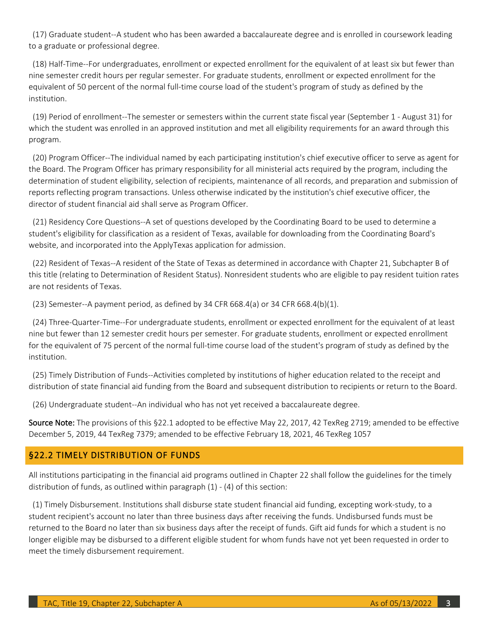(17) Graduate student--A student who has been awarded a baccalaureate degree and is enrolled in coursework leading to a graduate or professional degree.

 nine semester credit hours per regular semester. For graduate students, enrollment or expected enrollment for the equivalent of 50 percent of the normal full-time course load of the student's program of study as defined by the (18) Half-Time--For undergraduates, enrollment or expected enrollment for the equivalent of at least six but fewer than institution.

 which the student was enrolled in an approved institution and met all eligibility requirements for an award through this (19) Period of enrollment--The semester or semesters within the current state fiscal year (September 1 - August 31) for program.

 the Board. The Program Officer has primary responsibility for all ministerial acts required by the program, including the determination of student eligibility, selection of recipients, maintenance of all records, and preparation and submission of reports reflecting program transactions. Unless otherwise indicated by the institution's chief executive officer, the (20) Program Officer--The individual named by each participating institution's chief executive officer to serve as agent for director of student financial aid shall serve as Program Officer.

 student's eligibility for classification as a resident of Texas, available for downloading from the Coordinating Board's (21) Residency Core Questions--A set of questions developed by the Coordinating Board to be used to determine a website, and incorporated into the ApplyTexas application for admission.

(22) Resident of Texas--A resident of the State of Texas as determined in accordance with Chapter 21, Subchapter B of this title (relating to Determination of Resident Status). Nonresident students who are eligible to pay resident tuition rates are not residents of Texas.

 $(23)$  Semester--A payment period, as defined by 34 CFR 668.4(a) or 34 CFR 668.4(b) $(1)$ .

 (24) Three-Quarter-Time--For undergraduate students, enrollment or expected enrollment for the equivalent of at least nine but fewer than 12 semester credit hours per semester. For graduate students, enrollment or expected enrollment for the equivalent of 75 percent of the normal full-time course load of the student's program of study as defined by the institution.

 (25) Timely Distribution of Funds--Activities completed by institutions of higher education related to the receipt and distribution of state financial aid funding from the Board and subsequent distribution to recipients or return to the Board.

(26) Undergraduate student--An individual who has not yet received a baccalaureate degree.

Source Note: The provisions of this §22.1 adopted to be effective May 22, 2017, 42 TexReg 2719; amended to be effective December 5, 2019, 44 TexReg 7379; amended to be effective February 18, 2021, 46 TexReg 1057

#### <span id="page-2-0"></span>§22.2 TIMELY DISTRIBUTION OF FUNDS

All institutions participating in the financial aid programs outlined in Chapter 22 shall follow the guidelines for the timely distribution of funds, as outlined within paragraph (1) - (4) of this section:

 student recipient's account no later than three business days after receiving the funds. Undisbursed funds must be returned to the Board no later than six business days after the receipt of funds. Gift aid funds for which a student is no longer eligible may be disbursed to a different eligible student for whom funds have not yet been requested in order to (1) Timely Disbursement. Institutions shall disburse state student financial aid funding, excepting work-study, to a meet the timely disbursement requirement.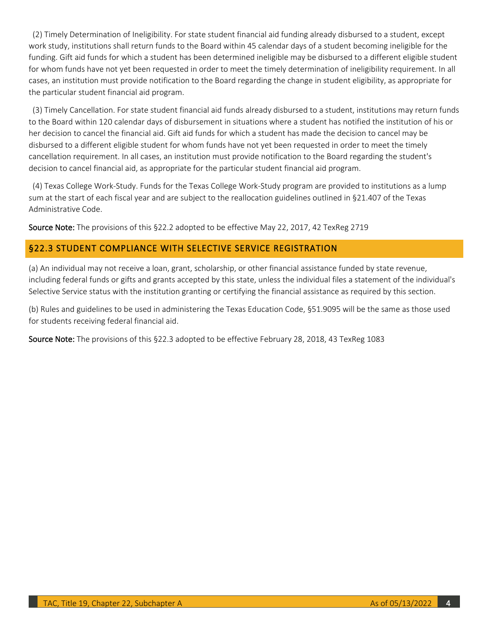work study, institutions shall return funds to the Board within 45 calendar days of a student becoming ineligible for the funding. Gift aid funds for which a student has been determined ineligible may be disbursed to a different eligible student for whom funds have not yet been requested in order to meet the timely determination of ineligibility requirement. In all cases, an institution must provide notification to the Board regarding the change in student eligibility, as appropriate for (2) Timely Determination of Ineligibility. For state student financial aid funding already disbursed to a student, except the particular student financial aid program.

 (3) Timely Cancellation. For state student financial aid funds already disbursed to a student, institutions may return funds to the Board within 120 calendar days of disbursement in situations where a student has notified the institution of his or her decision to cancel the financial aid. Gift aid funds for which a student has made the decision to cancel may be disbursed to a different eligible student for whom funds have not yet been requested in order to meet the timely decision to cancel financial aid, as appropriate for the particular student financial aid program. cancellation requirement. In all cases, an institution must provide notification to the Board regarding the student's

 sum at the start of each fiscal year and are subject to the reallocation guidelines outlined in §21.407 of the Texas (4) Texas College Work-Study. Funds for the Texas College Work-Study program are provided to institutions as a lump Administrative Code.

Source Note: The provisions of this §22.2 adopted to be effective May 22, 2017, 42 TexReg 2719

# <span id="page-3-0"></span>§22.3 STUDENT COMPLIANCE WITH SELECTIVE SERVICE REGISTRATION

(a) An individual may not receive a loan, grant, scholarship, or other financial assistance funded by state revenue, including federal funds or gifts and grants accepted by this state, unless the individual files a statement of the individual's Selective Service status with the institution granting or certifying the financial assistance as required by this section.

(b) Rules and guidelines to be used in administering the Texas Education Code, §51.9095 will be the same as those used for students receiving federal financial aid.

Source Note: The provisions of this §22.3 adopted to be effective February 28, 2018, 43 TexReg 1083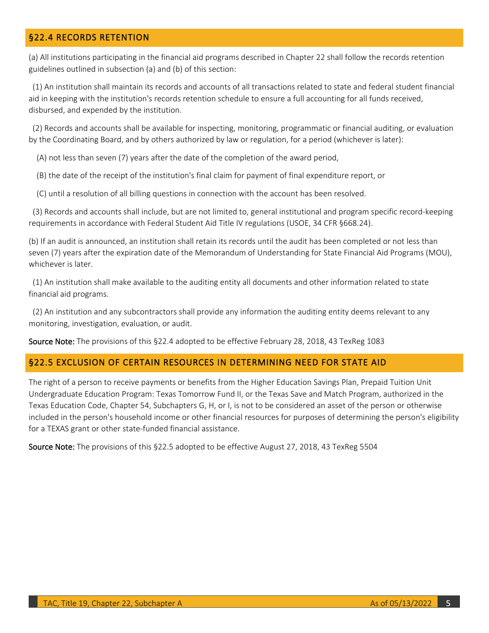# <span id="page-4-0"></span>§22.4 RECORDS RETENTION

 (a) All institutions participating in the financial aid programs described in Chapter 22 shall follow the records retention guidelines outlined in subsection (a) and (b) of this section:

(1) An institution shall maintain its records and accounts of all transactions related to state and federal student financial aid in keeping with the institution's records retention schedule to ensure a full accounting for all funds received, disbursed, and expended by the institution.

 by the Coordinating Board, and by others authorized by law or regulation, for a period (whichever is later): (2) Records and accounts shall be available for inspecting, monitoring, programmatic or financial auditing, or evaluation

(A) not less than seven (7) years after the date of the completion of the award period,

(B) the date of the receipt of the institution's final claim for payment of final expenditure report, or

(C) until a resolution of all billing questions in connection with the account has been resolved.

 (3) Records and accounts shall include, but are not limited to, general institutional and program specific record-keeping requirements in accordance with Federal Student Aid Title IV regulations (USOE, 34 CFR §668.24).

 (b) If an audit is announced, an institution shall retain its records until the audit has been completed or not less than seven (7) years after the expiration date of the Memorandum of Understanding for State Financial Aid Programs (MOU), whichever is later.

(1) An institution shall make available to the auditing entity all documents and other information related to state financial aid programs.

(2) An institution and any subcontractors shall provide any information the auditing entity deems relevant to any monitoring, investigation, evaluation, or audit.

Source Note: The provisions of this §22.4 adopted to be effective February 28, 2018, 43 TexReg 1083

#### <span id="page-4-1"></span>§22.5 EXCLUSION OF CERTAIN RESOURCES IN DETERMINING NEED FOR STATE AID

 The right of a person to receive payments or benefits from the Higher Education Savings Plan, Prepaid Tuition Unit Undergraduate Education Program: Texas Tomorrow Fund II, or the Texas Save and Match Program, authorized in the Texas Education Code, Chapter 54, Subchapters G, H, or I, is not to be considered an asset of the person or otherwise included in the person's household income or other financial resources for purposes of determining the person's eligibility for a TEXAS grant or other state-funded financial assistance.

Source Note: The provisions of this §22.5 adopted to be effective August 27, 2018, 43 TexReg 5504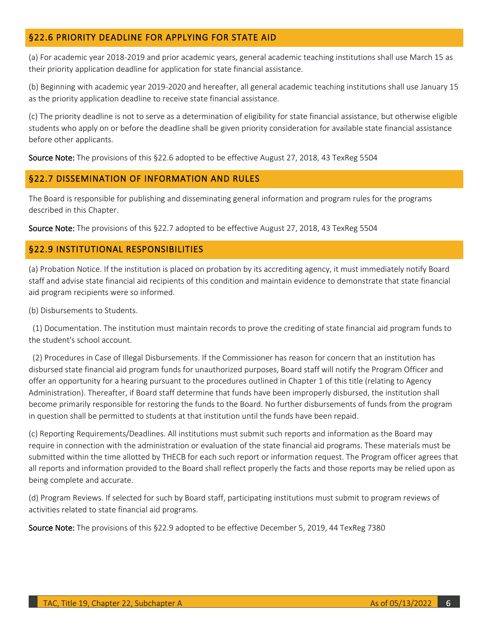# <span id="page-5-0"></span>§22.6 PRIORITY DEADLINE FOR APPLYING FOR STATE AID

(a) For academic year 2018-2019 and prior academic years, general academic teaching institutions shall use March 15 as their priority application deadline for application for state financial assistance.

 (b) Beginning with academic year 2019-2020 and hereafter, all general academic teaching institutions shall use January 15 as the priority application deadline to receive state financial assistance.

 (c) The priority deadline is not to serve as a determination of eligibility for state financial assistance, but otherwise eligible students who apply on or before the deadline shall be given priority consideration for available state financial assistance before other applicants.

Source Note: The provisions of this §22.6 adopted to be effective August 27, 2018, 43 TexReg 5504

## <span id="page-5-1"></span>§22.7 DISSEMINATION OF INFORMATION AND RULES

The Board is responsible for publishing and disseminating general information and program rules for the programs described in this Chapter.

Source Note: The provisions of this §22.7 adopted to be effective August 27, 2018, 43 TexReg 5504

## <span id="page-5-2"></span>§22.9 INSTITUTIONAL RESPONSIBILITIES

 (a) Probation Notice. If the institution is placed on probation by its accrediting agency, it must immediately notify Board aid program recipients were so informed. staff and advise state financial aid recipients of this condition and maintain evidence to demonstrate that state financial

(b) Disbursements to Students.

 (1) Documentation. The institution must maintain records to prove the crediting of state financial aid program funds to the student's school account.

 (2) Procedures in Case of Illegal Disbursements. If the Commissioner has reason for concern that an institution has disbursed state financial aid program funds for unauthorized purposes, Board staff will notify the Program Officer and offer an opportunity for a hearing pursuant to the procedures outlined in Chapter 1 of this title (relating to Agency Administration). Thereafter, if Board staff determine that funds have been improperly disbursed, the institution shall become primarily responsible for restoring the funds to the Board. No further disbursements of funds from the program in question shall be permitted to students at that institution until the funds have been repaid.

 require in connection with the administration or evaluation of the state financial aid programs. These materials must be submitted within the time allotted by THECB for each such report or information request. The Program officer agrees that (c) Reporting Requirements/Deadlines. All institutions must submit such reports and information as the Board may all reports and information provided to the Board shall reflect properly the facts and those reports may be relied upon as being complete and accurate.

 (d) Program Reviews. If selected for such by Board staff, participating institutions must submit to program reviews of activities related to state financial aid programs.

Source Note: The provisions of this §22.9 adopted to be effective December 5, 2019, 44 TexReg 7380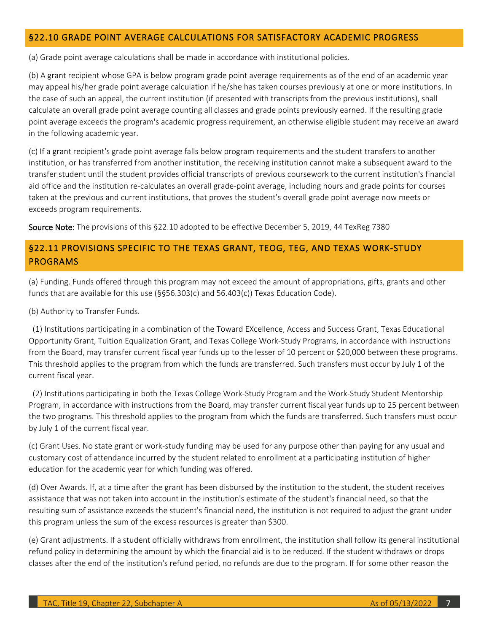## <span id="page-6-0"></span>§22.10 GRADE POINT AVERAGE CALCULATIONS FOR SATISFACTORY ACADEMIC PROGRESS

(a) Grade point average calculations shall be made in accordance with institutional policies.

 (b) A grant recipient whose GPA is below program grade point average requirements as of the end of an academic year may appeal his/her grade point average calculation if he/she has taken courses previously at one or more institutions. In point average exceeds the program's academic progress requirement, an otherwise eligible student may receive an award the case of such an appeal, the current institution (if presented with transcripts from the previous institutions), shall calculate an overall grade point average counting all classes and grade points previously earned. If the resulting grade in the following academic year.

 institution, or has transferred from another institution, the receiving institution cannot make a subsequent award to the transfer student until the student provides official transcripts of previous coursework to the current institution's financial aid office and the institution re-calculates an overall grade-point average, including hours and grade points for courses taken at the previous and current institutions, that proves the student's overall grade point average now meets or (c) If a grant recipient's grade point average falls below program requirements and the student transfers to another exceeds program requirements.

Source Note: The provisions of this §22.10 adopted to be effective December 5, 2019, 44 TexReg 7380

# <span id="page-6-1"></span> §22.11 PROVISIONS SPECIFIC TO THE TEXAS GRANT, TEOG, TEG, AND TEXAS WORK-STUDY PROGRAMS

 (a) Funding. Funds offered through this program may not exceed the amount of appropriations, gifts, grants and other funds that are available for this use (§§56.303(c) and 56.403(c)) Texas Education Code).

(b) Authority to Transfer Funds.

 Opportunity Grant, Tuition Equalization Grant, and Texas College Work-Study Programs, in accordance with instructions from the Board, may transfer current fiscal year funds up to the lesser of 10 percent or \$20,000 between these programs. This threshold applies to the program from which the funds are transferred. Such transfers must occur by July 1 of the (1) Institutions participating in a combination of the Toward EXcellence, Access and Success Grant, Texas Educational current fiscal year.

 Program, in accordance with instructions from the Board, may transfer current fiscal year funds up to 25 percent between the two programs. This threshold applies to the program from which the funds are transferred. Such transfers must occur (2) Institutions participating in both the Texas College Work-Study Program and the Work-Study Student Mentorship by July 1 of the current fiscal year.

 (c) Grant Uses. No state grant or work-study funding may be used for any purpose other than paying for any usual and customary cost of attendance incurred by the student related to enrollment at a participating institution of higher education for the academic year for which funding was offered.

 (d) Over Awards. If, at a time after the grant has been disbursed by the institution to the student, the student receives assistance that was not taken into account in the institution's estimate of the student's financial need, so that the resulting sum of assistance exceeds the student's financial need, the institution is not required to adjust the grant under this program unless the sum of the excess resources is greater than \$300.

 (e) Grant adjustments. If a student officially withdraws from enrollment, the institution shall follow its general institutional classes after the end of the institution's refund period, no refunds are due to the program. If for some other reason the refund policy in determining the amount by which the financial aid is to be reduced. If the student withdraws or drops